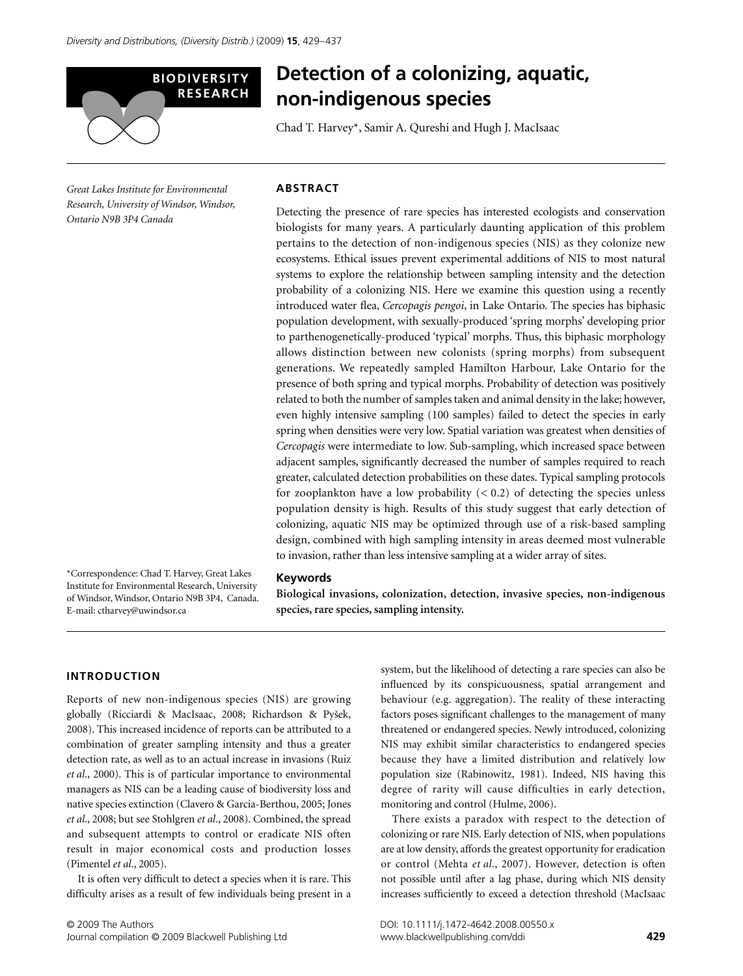

# **Detection of a colonizing, aquatic, non-indigenous species**

Chad T. Harvey\*, Samir A. Qureshi and Hugh J. MacIsaac

*Great Lakes Institute for Environmental Research, University of Windsor, Windsor, Ontario N9B 3P4 Canada*

## **ABSTRACT**

Detecting the presence of rare species has interested ecologists and conservation biologists for many years. A particularly daunting application of this problem pertains to the detection of non-indigenous species (NIS) as they colonize new ecosystems. Ethical issues prevent experimental additions of NIS to most natural systems to explore the relationship between sampling intensity and the detection probability of a colonizing NIS. Here we examine this question using a recently introduced water flea, *Cercopagis pengoi*, in Lake Ontario. The species has biphasic population development, with sexually-produced 'spring morphs' developing prior to parthenogenetically-produced 'typical' morphs. Thus, this biphasic morphology allows distinction between new colonists (spring morphs) from subsequent generations. We repeatedly sampled Hamilton Harbour, Lake Ontario for the presence of both spring and typical morphs. Probability of detection was positively related to both the number of samples taken and animal density in the lake; however, even highly intensive sampling (100 samples) failed to detect the species in early spring when densities were very low. Spatial variation was greatest when densities of *Cercopagis* were intermediate to low. Sub-sampling, which increased space between adjacent samples, significantly decreased the number of samples required to reach greater, calculated detection probabilities on these dates. Typical sampling protocols for zooplankton have a low probability  $(< 0.2)$  of detecting the species unless population density is high. Results of this study suggest that early detection of colonizing, aquatic NIS may be optimized through use of a risk-based sampling design, combined with high sampling intensity in areas deemed most vulnerable to invasion, rather than less intensive sampling at a wider array of sites.

#### **Keywords**

**Biological invasions, colonization, detection, invasive species, non-indigenous species, rare species, sampling intensity.**

\*Correspondence: Chad T. Harvey, Great Lakes Institute for Environmental Research, University of Windsor, Windsor, Ontario N9B 3P4, Canada. E-mail: ctharvey@uwindsor.ca

# **INTRODUCTION**

Reports of new non-indigenous species (NIS) are growing globally (Ricciardi & MacIsaac, 2008; Richardson & Pysek, 2008). This increased incidence of reports can be attributed to a combination of greater sampling intensity and thus a greater detection rate, as well as to an actual increase in invasions (Ruiz *et al*., 2000). This is of particular importance to environmental managers as NIS can be a leading cause of biodiversity loss and native species extinction (Clavero & Garcia-Berthou, 2005; Jones *et al*., 2008; but see Stohlgren *et al*., 2008). Combined, the spread and subsequent attempts to control or eradicate NIS often result in major economical costs and production losses (Pimentel *et al*., 2005).

It is often very difficult to detect a species when it is rare. This difficulty arises as a result of few individuals being present in a system, but the likelihood of detecting a rare species can also be influenced by its conspicuousness, spatial arrangement and behaviour (e.g. aggregation). The reality of these interacting factors poses significant challenges to the management of many threatened or endangered species. Newly introduced, colonizing NIS may exhibit similar characteristics to endangered species because they have a limited distribution and relatively low population size (Rabinowitz, 1981). Indeed, NIS having this degree of rarity will cause difficulties in early detection, monitoring and control (Hulme, 2006).

There exists a paradox with respect to the detection of colonizing or rare NIS. Early detection of NIS, when populations are at low density, affords the greatest opportunity for eradication or control (Mehta *et al*., 2007). However, detection is often not possible until after a lag phase, during which NIS density increases sufficiently to exceed a detection threshold (MacIsaac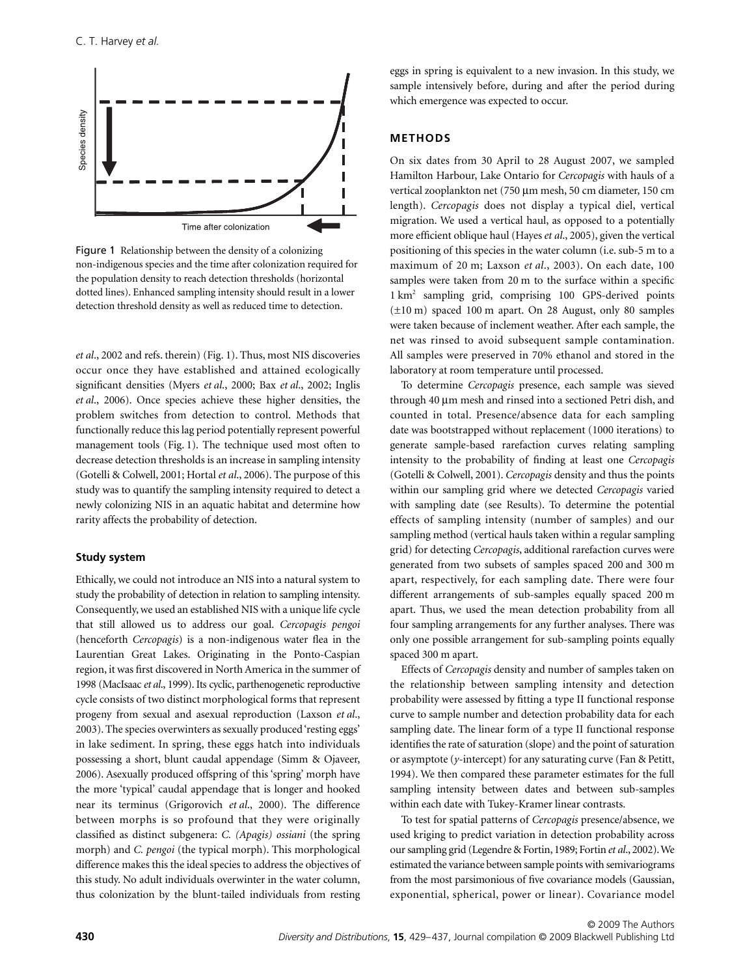

Figure 1 Relationship between the density of a colonizing non-indigenous species and the time after colonization required for the population density to reach detection thresholds (horizontal dotted lines). Enhanced sampling intensity should result in a lower detection threshold density as well as reduced time to detection.

*et al*., 2002 and refs. therein) (Fig. 1). Thus, most NIS discoveries occur once they have established and attained ecologically significant densities (Myers *et al*., 2000; Bax *et al*., 2002; Inglis *et al*., 2006). Once species achieve these higher densities, the problem switches from detection to control. Methods that functionally reduce this lag period potentially represent powerful management tools (Fig. 1). The technique used most often to decrease detection thresholds is an increase in sampling intensity (Gotelli & Colwell, 2001; Hortal *et al*., 2006). The purpose of this study was to quantify the sampling intensity required to detect a newly colonizing NIS in an aquatic habitat and determine how rarity affects the probability of detection.

# **Study system**

Ethically, we could not introduce an NIS into a natural system to study the probability of detection in relation to sampling intensity. Consequently, we used an established NIS with a unique life cycle that still allowed us to address our goal. *Cercopagis pengoi* (henceforth *Cercopagis*) is a non-indigenous water flea in the Laurentian Great Lakes. Originating in the Ponto-Caspian region, it was first discovered in North America in the summer of 1998 (MacIsaac *et al*., 1999). Its cyclic, parthenogenetic reproductive cycle consists of two distinct morphological forms that represent progeny from sexual and asexual reproduction (Laxson *et al*., 2003). The species overwinters as sexually produced 'resting eggs' in lake sediment. In spring, these eggs hatch into individuals possessing a short, blunt caudal appendage (Simm & Ojaveer, 2006). Asexually produced offspring of this 'spring' morph have the more 'typical' caudal appendage that is longer and hooked near its terminus (Grigorovich *et al*., 2000). The difference between morphs is so profound that they were originally classified as distinct subgenera: *C. (Apagis) ossiani* (the spring morph) and *C. pengoi* (the typical morph). This morphological difference makes this the ideal species to address the objectives of this study. No adult individuals overwinter in the water column, thus colonization by the blunt-tailed individuals from resting

eggs in spring is equivalent to a new invasion. In this study, we sample intensively before, during and after the period during which emergence was expected to occur.

# **METHODS**

On six dates from 30 April to 28 August 2007, we sampled Hamilton Harbour, Lake Ontario for *Cercopagis* with hauls of a vertical zooplankton net (750 μm mesh, 50 cm diameter, 150 cm length). *Cercopagis* does not display a typical diel, vertical migration. We used a vertical haul, as opposed to a potentially more efficient oblique haul (Hayes *et al*., 2005), given the vertical positioning of this species in the water column (i.e. sub-5 m to a maximum of 20 m; Laxson *et al*., 2003). On each date, 100 samples were taken from 20 m to the surface within a specific 1 km<sup>2</sup> sampling grid, comprising 100 GPS-derived points (±10 m) spaced 100 m apart. On 28 August, only 80 samples were taken because of inclement weather. After each sample, the net was rinsed to avoid subsequent sample contamination. All samples were preserved in 70% ethanol and stored in the laboratory at room temperature until processed.

To determine *Cercopagis* presence, each sample was sieved through 40 μm mesh and rinsed into a sectioned Petri dish, and counted in total. Presence/absence data for each sampling date was bootstrapped without replacement (1000 iterations) to generate sample-based rarefaction curves relating sampling intensity to the probability of finding at least one *Cercopagis* (Gotelli & Colwell, 2001). *Cercopagis* density and thus the points within our sampling grid where we detected *Cercopagis* varied with sampling date (see Results). To determine the potential effects of sampling intensity (number of samples) and our sampling method (vertical hauls taken within a regular sampling grid) for detecting *Cercopagis*, additional rarefaction curves were generated from two subsets of samples spaced 200 and 300 m apart, respectively, for each sampling date. There were four different arrangements of sub-samples equally spaced 200 m apart. Thus, we used the mean detection probability from all four sampling arrangements for any further analyses. There was only one possible arrangement for sub-sampling points equally spaced 300 m apart.

Effects of *Cercopagis* density and number of samples taken on the relationship between sampling intensity and detection probability were assessed by fitting a type II functional response curve to sample number and detection probability data for each sampling date. The linear form of a type II functional response identifies the rate of saturation (slope) and the point of saturation or asymptote (*y*-intercept) for any saturating curve (Fan & Petitt, 1994). We then compared these parameter estimates for the full sampling intensity between dates and between sub-samples within each date with Tukey-Kramer linear contrasts.

To test for spatial patterns of *Cercopagis* presence/absence, we used kriging to predict variation in detection probability across our sampling grid (Legendre & Fortin, 1989; Fortin *et al*., 2002). We estimated the variance between sample points with semivariograms from the most parsimonious of five covariance models (Gaussian, exponential, spherical, power or linear). Covariance model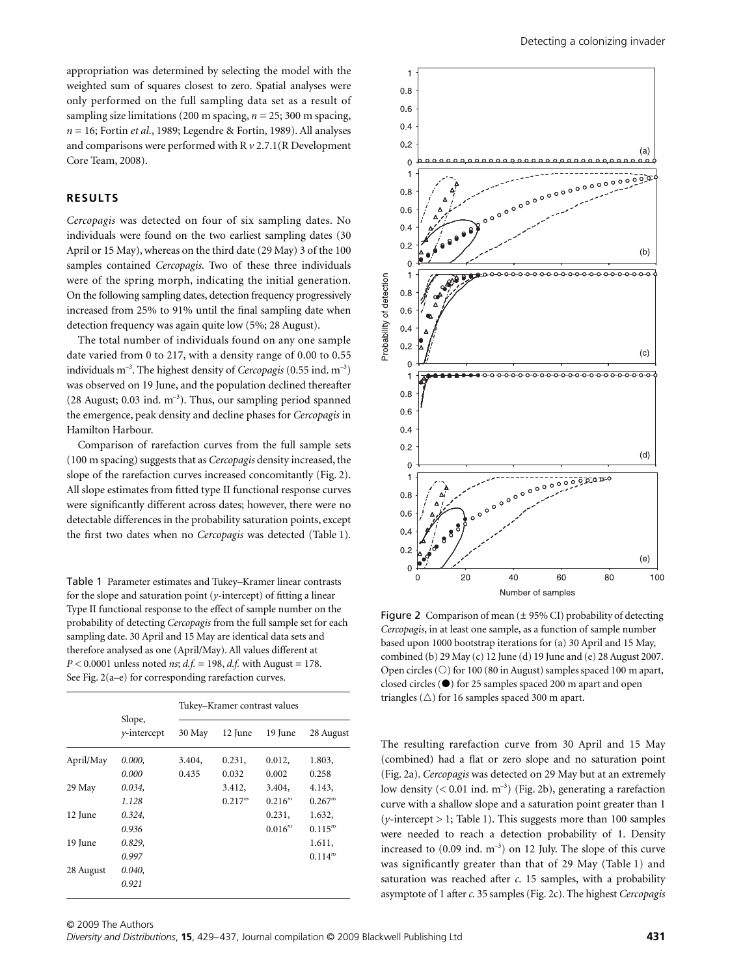appropriation was determined by selecting the model with the weighted sum of squares closest to zero. Spatial analyses were only performed on the full sampling data set as a result of sampling size limitations (200 m spacing, *n* = 25; 300 m spacing, *n* = 16; Fortin *et al*., 1989; Legendre & Fortin, 1989). All analyses and comparisons were performed with R *v* 2.7.1(R Development Core Team, 2008).

#### **RESULTS**

*Cercopagis* was detected on four of six sampling dates. No individuals were found on the two earliest sampling dates (30 April or 15 May), whereas on the third date (29 May) 3 of the 100 samples contained *Cercopagis*. Two of these three individuals were of the spring morph, indicating the initial generation. On the following sampling dates, detection frequency progressively increased from 25% to 91% until the final sampling date when detection frequency was again quite low (5%; 28 August).

The total number of individuals found on any one sample date varied from 0 to 217, with a density range of 0.00 to 0.55 individuals m–3. The highest density of *Cercopagis* (0.55 ind. m–3) was observed on 19 June, and the population declined thereafter (28 August; 0.03 ind.  $m^{-3}$ ). Thus, our sampling period spanned the emergence, peak density and decline phases for *Cercopagis* in Hamilton Harbour.

Comparison of rarefaction curves from the full sample sets (100 m spacing) suggests that as *Cercopagis* density increased, the slope of the rarefaction curves increased concomitantly (Fig. 2). All slope estimates from fitted type II functional response curves were significantly different across dates; however, there were no detectable differences in the probability saturation points, except the first two dates when no *Cercopagis* was detected (Table 1).

Table 1 Parameter estimates and Tukey–Kramer linear contrasts for the slope and saturation point (*y*-intercept) of fitting a linear Type II functional response to the effect of sample number on the probability of detecting *Cercopagis* from the full sample set for each sampling date. 30 April and 15 May are identical data sets and therefore analysed as one (April/May). All values different at *P <* 0.0001 unless noted *ns*; *d.f.* = 198, *d.f.* with August = 178. See Fig. 2(a–e) for corresponding rarefaction curves.

|           | Slope,<br>$\nu$ -intercept | Tukey-Kramer contrast values |              |              |              |  |
|-----------|----------------------------|------------------------------|--------------|--------------|--------------|--|
|           |                            | 30 May                       | 12 June      | 19 June      | 28 August    |  |
| April/May | 0.000,                     | 3.404,                       | 0.231,       | 0.012,       | 1.803,       |  |
|           | 0.000                      | 0.435                        | 0.032        | 0.002        | 0.258        |  |
| 29 May    | 0.034,                     |                              | 3.412.       | 3.404,       | 4.143.       |  |
|           | 1.128                      |                              | $0.217^{ns}$ | $0.216^{ns}$ | $0.267^{ns}$ |  |
| 12 June   | 0.324,                     |                              |              | 0.231,       | 1.632.       |  |
|           | 0.936                      |                              |              | $0.016^{ns}$ | $0.115^{ns}$ |  |
| 19 June   | 0.829,                     |                              |              |              | 1.611,       |  |
|           | 0.997                      |                              |              |              | $0.114^{ns}$ |  |
| 28 August | 0.040,                     |                              |              |              |              |  |
|           | 0.921                      |                              |              |              |              |  |



**Figure 2** Comparison of mean  $(\pm 95\% \text{ CI})$  probability of detecting *Cercopagis*, in at least one sample, as a function of sample number based upon 1000 bootstrap iterations for (a) 30 April and 15 May, combined (b) 29 May (c) 12 June (d) 19 June and (e) 28 August 2007. Open circles  $( \bigcirc )$  for 100 (80 in August) samples spaced 100 m apart, closed circles  $(\bullet)$  for 25 samples spaced 200 m apart and open triangles  $(\triangle)$  for 16 samples spaced 300 m apart.

The resulting rarefaction curve from 30 April and 15 May (combined) had a flat or zero slope and no saturation point (Fig. 2a). *Cercopagis* was detected on 29 May but at an extremely low density (< 0.01 ind. m<sup>-3</sup>) (Fig. 2b), generating a rarefaction curve with a shallow slope and a saturation point greater than 1 (*y*-intercept > 1; Table 1). This suggests more than 100 samples were needed to reach a detection probability of 1. Density increased to  $(0.09 \text{ ind. m}^{-3})$  on 12 July. The slope of this curve was significantly greater than that of 29 May (Table 1) and saturation was reached after *c*. 15 samples, with a probability asymptote of 1 after *c*. 35 samples (Fig. 2c). The highest *Cercopagis*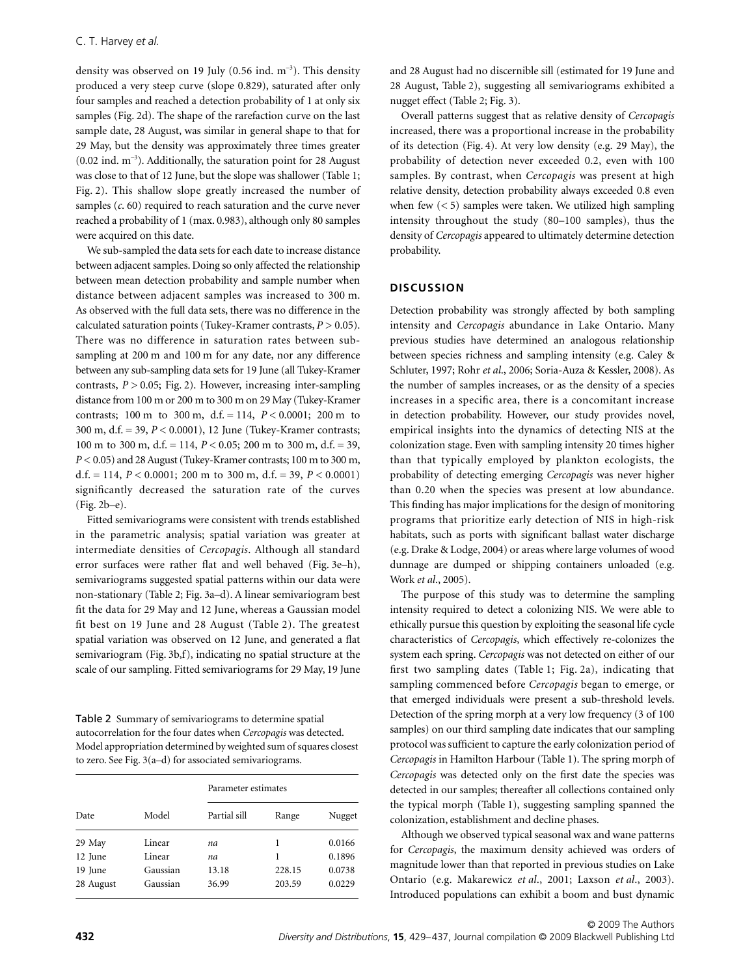density was observed on 19 July (0.56 ind.  $m^{-3}$ ). This density produced a very steep curve (slope 0.829), saturated after only four samples and reached a detection probability of 1 at only six samples (Fig. 2d). The shape of the rarefaction curve on the last sample date, 28 August, was similar in general shape to that for 29 May, but the density was approximately three times greater  $(0.02 \text{ ind. m}^{-3})$ . Additionally, the saturation point for 28 August was close to that of 12 June, but the slope was shallower (Table 1; Fig. 2). This shallow slope greatly increased the number of samples (*c*. 60) required to reach saturation and the curve never reached a probability of 1 (max. 0.983), although only 80 samples were acquired on this date.

We sub-sampled the data sets for each date to increase distance between adjacent samples. Doing so only affected the relationship between mean detection probability and sample number when distance between adjacent samples was increased to 300 m. As observed with the full data sets, there was no difference in the calculated saturation points (Tukey-Kramer contrasts, *P* > 0.05). There was no difference in saturation rates between subsampling at 200 m and 100 m for any date, nor any difference between any sub-sampling data sets for 19 June (all Tukey-Kramer contrasts,  $P > 0.05$ ; Fig. 2). However, increasing inter-sampling distance from 100 m or 200 m to 300 m on 29 May (Tukey-Kramer contrasts; 100 m to 300 m, d.f. = 114,  $P < 0.0001$ ; 200 m to 300 m, d.f. = 39, *P* < 0.0001), 12 June (Tukey-Kramer contrasts; 100 m to 300 m, d.f. = 114, *P* < 0.05; 200 m to 300 m, d.f. = 39, *P* < 0.05) and 28 August (Tukey-Kramer contrasts; 100 m to 300 m, d.f. = 114,  $P < 0.0001$ ; 200 m to 300 m, d.f. = 39,  $P < 0.0001$ ) significantly decreased the saturation rate of the curves (Fig. 2b–e).

Fitted semivariograms were consistent with trends established in the parametric analysis; spatial variation was greater at intermediate densities of *Cercopagis*. Although all standard error surfaces were rather flat and well behaved (Fig. 3e–h), semivariograms suggested spatial patterns within our data were non-stationary (Table 2; Fig. 3a–d). A linear semivariogram best fit the data for 29 May and 12 June, whereas a Gaussian model fit best on 19 June and 28 August (Table 2). The greatest spatial variation was observed on 12 June, and generated a flat semivariogram (Fig. 3b,f), indicating no spatial structure at the scale of our sampling. Fitted semivariograms for 29 May, 19 June

Table 2 Summary of semivariograms to determine spatial autocorrelation for the four dates when *Cercopagis* was detected. Model appropriation determined by weighted sum of squares closest to zero. See Fig. 3(a–d) for associated semivariograms.

|           | Model    | Parameter estimates |        |        |  |
|-----------|----------|---------------------|--------|--------|--|
| Date      |          | Partial sill        | Range  | Nugget |  |
| 29 May    | Linear   | na                  | 1      | 0.0166 |  |
| 12 June   | Linear   | na                  | 1      | 0.1896 |  |
| 19 June   | Gaussian | 13.18               | 228.15 | 0.0738 |  |
| 28 August | Gaussian | 36.99               | 203.59 | 0.0229 |  |

and 28 August had no discernible sill (estimated for 19 June and 28 August, Table 2), suggesting all semivariograms exhibited a nugget effect (Table 2; Fig. 3).

Overall patterns suggest that as relative density of *Cercopagis* increased, there was a proportional increase in the probability of its detection (Fig. 4). At very low density (e.g. 29 May), the probability of detection never exceeded 0.2, even with 100 samples. By contrast, when *Cercopagis* was present at high relative density, detection probability always exceeded 0.8 even when few  $(< 5)$  samples were taken. We utilized high sampling intensity throughout the study (80–100 samples), thus the density of *Cercopagis* appeared to ultimately determine detection probability.

## **DISCUSSION**

Detection probability was strongly affected by both sampling intensity and *Cercopagis* abundance in Lake Ontario. Many previous studies have determined an analogous relationship between species richness and sampling intensity (e.g. Caley & Schluter, 1997; Rohr *et al*., 2006; Soria-Auza & Kessler, 2008). As the number of samples increases, or as the density of a species increases in a specific area, there is a concomitant increase in detection probability. However, our study provides novel, empirical insights into the dynamics of detecting NIS at the colonization stage. Even with sampling intensity 20 times higher than that typically employed by plankton ecologists, the probability of detecting emerging *Cercopagis* was never higher than 0.20 when the species was present at low abundance. This finding has major implications for the design of monitoring programs that prioritize early detection of NIS in high-risk habitats, such as ports with significant ballast water discharge (e.g. Drake & Lodge, 2004) or areas where large volumes of wood dunnage are dumped or shipping containers unloaded (e.g. Work *et al*., 2005).

The purpose of this study was to determine the sampling intensity required to detect a colonizing NIS. We were able to ethically pursue this question by exploiting the seasonal life cycle characteristics of *Cercopagis*, which effectively re-colonizes the system each spring. *Cercopagis* was not detected on either of our first two sampling dates (Table 1; Fig. 2a), indicating that sampling commenced before *Cercopagis* began to emerge, or that emerged individuals were present a sub-threshold levels. Detection of the spring morph at a very low frequency (3 of 100 samples) on our third sampling date indicates that our sampling protocol was sufficient to capture the early colonization period of *Cercopagis* in Hamilton Harbour (Table 1). The spring morph of *Cercopagis* was detected only on the first date the species was detected in our samples; thereafter all collections contained only the typical morph (Table 1), suggesting sampling spanned the colonization, establishment and decline phases.

Although we observed typical seasonal wax and wane patterns for *Cercopagis*, the maximum density achieved was orders of magnitude lower than that reported in previous studies on Lake Ontario (e.g. Makarewicz *et al*., 2001; Laxson *et al*., 2003). Introduced populations can exhibit a boom and bust dynamic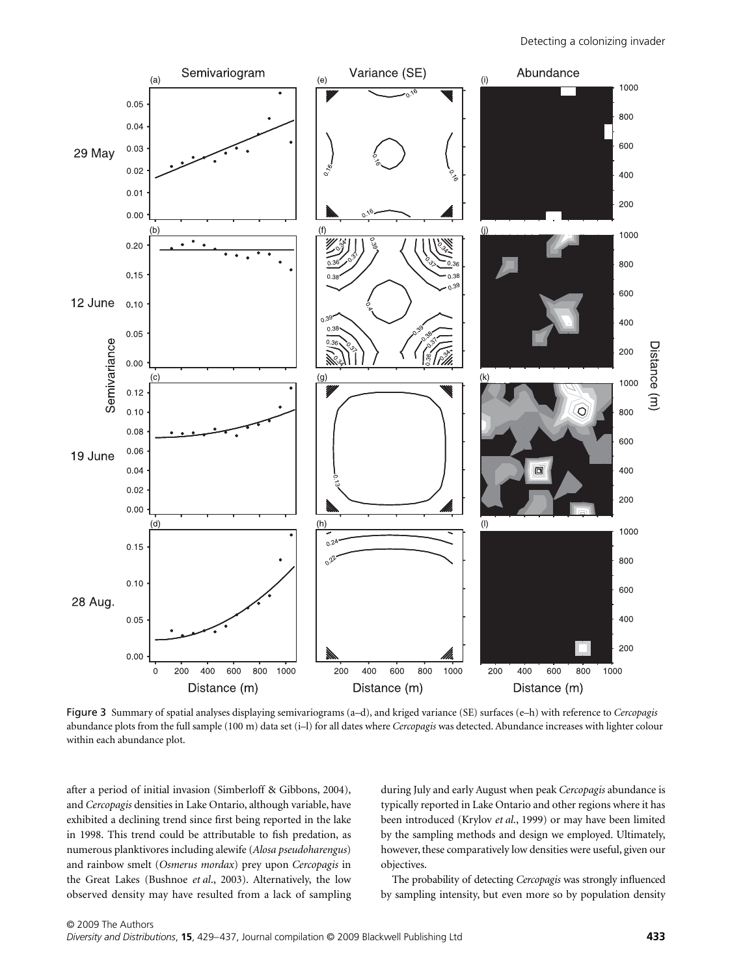

Figure 3 Summary of spatial analyses displaying semivariograms (a–d), and kriged variance (SE) surfaces (e–h) with reference to *Cercopagis* abundance plots from the full sample (100 m) data set (i–l) for all dates where *Cercopagis* was detected. Abundance increases with lighter colour within each abundance plot.

after a period of initial invasion (Simberloff & Gibbons, 2004), and *Cercopagis* densities in Lake Ontario, although variable, have exhibited a declining trend since first being reported in the lake in 1998. This trend could be attributable to fish predation, as numerous planktivores including alewife (*Alosa pseudoharengus*) and rainbow smelt (*Osmerus mordax*) prey upon *Cercopagis* in the Great Lakes (Bushnoe *et al*., 2003). Alternatively, the low observed density may have resulted from a lack of sampling during July and early August when peak *Cercopagis* abundance is typically reported in Lake Ontario and other regions where it has been introduced (Krylov *et al*., 1999) or may have been limited by the sampling methods and design we employed. Ultimately, however, these comparatively low densities were useful, given our objectives.

The probability of detecting *Cercopagis* was strongly influenced by sampling intensity, but even more so by population density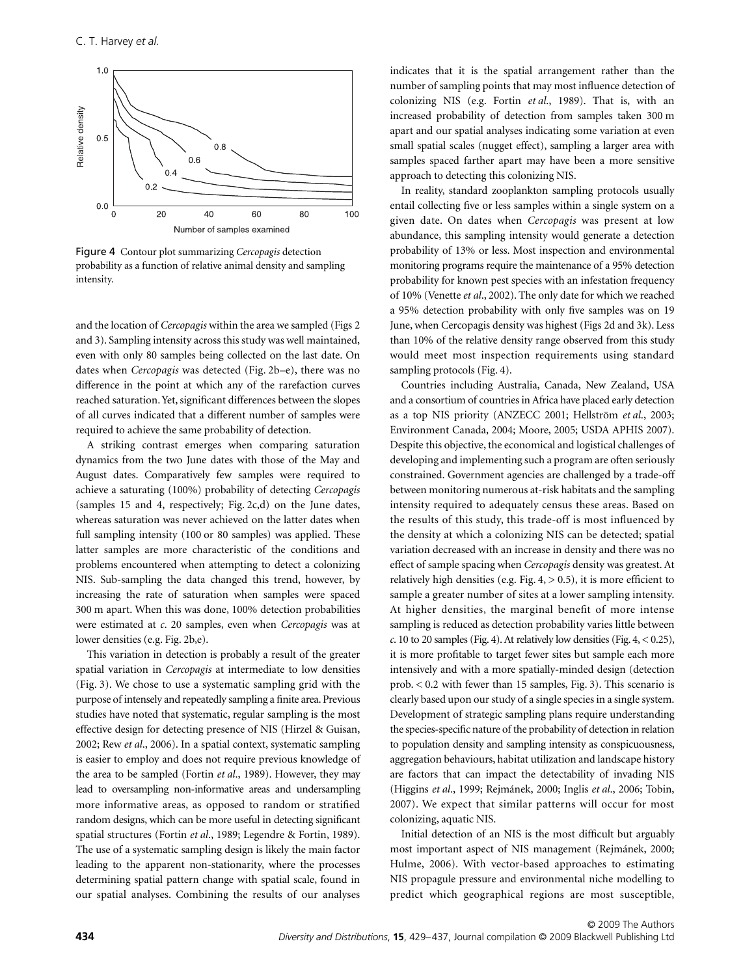

Figure 4 Contour plot summarizing *Cercopagis* detection probability as a function of relative animal density and sampling intensity.

and the location of *Cercopagis* within the area we sampled (Figs 2 and 3). Sampling intensity across this study was well maintained, even with only 80 samples being collected on the last date. On dates when *Cercopagis* was detected (Fig. 2b–e), there was no difference in the point at which any of the rarefaction curves reached saturation. Yet, significant differences between the slopes of all curves indicated that a different number of samples were required to achieve the same probability of detection.

A striking contrast emerges when comparing saturation dynamics from the two June dates with those of the May and August dates. Comparatively few samples were required to achieve a saturating (100%) probability of detecting *Cercopagis* (samples 15 and 4, respectively; Fig. 2c,d) on the June dates, whereas saturation was never achieved on the latter dates when full sampling intensity (100 or 80 samples) was applied. These latter samples are more characteristic of the conditions and problems encountered when attempting to detect a colonizing NIS. Sub-sampling the data changed this trend, however, by increasing the rate of saturation when samples were spaced 300 m apart. When this was done, 100% detection probabilities were estimated at *c*. 20 samples, even when *Cercopagis* was at lower densities (e.g. Fig. 2b,e).

This variation in detection is probably a result of the greater spatial variation in *Cercopagis* at intermediate to low densities (Fig. 3). We chose to use a systematic sampling grid with the purpose of intensely and repeatedly sampling a finite area. Previous studies have noted that systematic, regular sampling is the most effective design for detecting presence of NIS (Hirzel & Guisan, 2002; Rew *et al*., 2006). In a spatial context, systematic sampling is easier to employ and does not require previous knowledge of the area to be sampled (Fortin *et al*., 1989). However, they may lead to oversampling non-informative areas and undersampling more informative areas, as opposed to random or stratified random designs, which can be more useful in detecting significant spatial structures (Fortin *et al*., 1989; Legendre & Fortin, 1989). The use of a systematic sampling design is likely the main factor leading to the apparent non-stationarity, where the processes determining spatial pattern change with spatial scale, found in our spatial analyses. Combining the results of our analyses indicates that it is the spatial arrangement rather than the number of sampling points that may most influence detection of colonizing NIS (e.g. Fortin *et al*., 1989). That is, with an increased probability of detection from samples taken 300 m apart and our spatial analyses indicating some variation at even small spatial scales (nugget effect), sampling a larger area with samples spaced farther apart may have been a more sensitive approach to detecting this colonizing NIS.

In reality, standard zooplankton sampling protocols usually entail collecting five or less samples within a single system on a given date. On dates when *Cercopagis* was present at low abundance, this sampling intensity would generate a detection probability of 13% or less. Most inspection and environmental monitoring programs require the maintenance of a 95% detection probability for known pest species with an infestation frequency of 10% (Venette *et al*., 2002). The only date for which we reached a 95% detection probability with only five samples was on 19 June, when Cercopagis density was highest (Figs 2d and 3k). Less than 10% of the relative density range observed from this study would meet most inspection requirements using standard sampling protocols (Fig. 4).

Countries including Australia, Canada, New Zealand, USA and a consortium of countries in Africa have placed early detection as a top NIS priority (ANZECC 2001; Hellström *et al*., 2003; Environment Canada, 2004; Moore, 2005; USDA APHIS 2007). Despite this objective, the economical and logistical challenges of developing and implementing such a program are often seriously constrained. Government agencies are challenged by a trade-off between monitoring numerous at-risk habitats and the sampling intensity required to adequately census these areas. Based on the results of this study, this trade-off is most influenced by the density at which a colonizing NIS can be detected; spatial variation decreased with an increase in density and there was no effect of sample spacing when *Cercopagis* density was greatest. At relatively high densities (e.g. Fig.  $4$ ,  $> 0.5$ ), it is more efficient to sample a greater number of sites at a lower sampling intensity. At higher densities, the marginal benefit of more intense sampling is reduced as detection probability varies little between *c*. 10 to 20 samples (Fig. 4). At relatively low densities (Fig.  $4, < 0.25$ ), it is more profitable to target fewer sites but sample each more intensively and with a more spatially-minded design (detection prob. < 0.2 with fewer than 15 samples, Fig. 3). This scenario is clearly based upon our study of a single species in a single system. Development of strategic sampling plans require understanding the species-specific nature of the probability of detection in relation to population density and sampling intensity as conspicuousness, aggregation behaviours, habitat utilization and landscape history are factors that can impact the detectability of invading NIS (Higgins *et al*., 1999; Rejmánek, 2000; Inglis *et al*., 2006; Tobin, 2007). We expect that similar patterns will occur for most colonizing, aquatic NIS.

Initial detection of an NIS is the most difficult but arguably most important aspect of NIS management (Rejmánek, 2000; Hulme, 2006). With vector-based approaches to estimating NIS propagule pressure and environmental niche modelling to predict which geographical regions are most susceptible,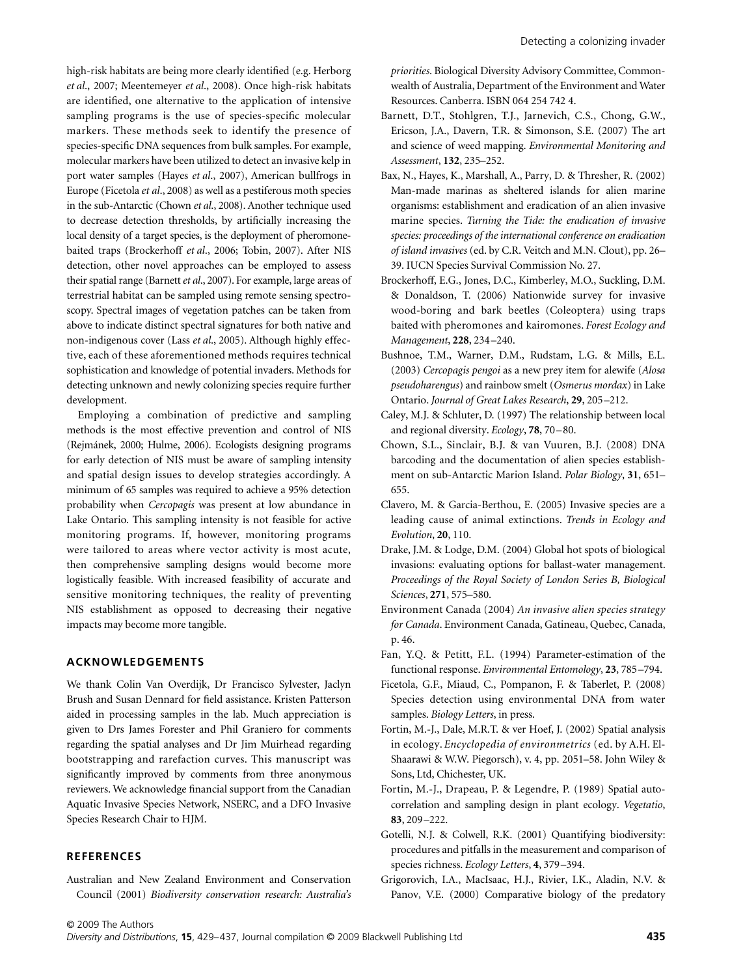high-risk habitats are being more clearly identified (e.g. Herborg *et al*., 2007; Meentemeyer *et al*., 2008). Once high-risk habitats are identified, one alternative to the application of intensive sampling programs is the use of species-specific molecular markers. These methods seek to identify the presence of species-specific DNA sequences from bulk samples. For example, molecular markers have been utilized to detect an invasive kelp in port water samples (Hayes *et al*., 2007), American bullfrogs in Europe (Ficetola *et al*., 2008) as well as a pestiferous moth species in the sub-Antarctic (Chown *et al*., 2008). Another technique used to decrease detection thresholds, by artificially increasing the local density of a target species, is the deployment of pheromonebaited traps (Brockerhoff *et al*., 2006; Tobin, 2007). After NIS detection, other novel approaches can be employed to assess their spatial range (Barnett *et al*., 2007). For example, large areas of terrestrial habitat can be sampled using remote sensing spectroscopy. Spectral images of vegetation patches can be taken from above to indicate distinct spectral signatures for both native and non-indigenous cover (Lass *et al*., 2005). Although highly effective, each of these aforementioned methods requires technical sophistication and knowledge of potential invaders. Methods for detecting unknown and newly colonizing species require further development.

Employing a combination of predictive and sampling methods is the most effective prevention and control of NIS (Rejmánek, 2000; Hulme, 2006). Ecologists designing programs for early detection of NIS must be aware of sampling intensity and spatial design issues to develop strategies accordingly. A minimum of 65 samples was required to achieve a 95% detection probability when *Cercopagis* was present at low abundance in Lake Ontario. This sampling intensity is not feasible for active monitoring programs. If, however, monitoring programs were tailored to areas where vector activity is most acute, then comprehensive sampling designs would become more logistically feasible. With increased feasibility of accurate and sensitive monitoring techniques, the reality of preventing NIS establishment as opposed to decreasing their negative impacts may become more tangible.

# **ACKNOWLEDGEMENTS**

We thank Colin Van Overdijk, Dr Francisco Sylvester, Jaclyn Brush and Susan Dennard for field assistance. Kristen Patterson aided in processing samples in the lab. Much appreciation is given to Drs James Forester and Phil Graniero for comments regarding the spatial analyses and Dr Jim Muirhead regarding bootstrapping and rarefaction curves. This manuscript was significantly improved by comments from three anonymous reviewers. We acknowledge financial support from the Canadian Aquatic Invasive Species Network, NSERC, and a DFO Invasive Species Research Chair to HJM.

# **REFERENCES**

Australian and New Zealand Environment and Conservation Council (2001) *Biodiversity conservation research: Australia's* *priorities*. Biological Diversity Advisory Committee, Commonwealth of Australia, Department of the Environment and Water Resources. Canberra. ISBN 064 254 742 4.

- Barnett, D.T., Stohlgren, T.J., Jarnevich, C.S., Chong, G.W., Ericson, J.A., Davern, T.R. & Simonson, S.E. (2007) The art and science of weed mapping. *Environmental Monitoring and Assessment*, **132**, 235–252.
- Bax, N., Hayes, K., Marshall, A., Parry, D. & Thresher, R. (2002) Man-made marinas as sheltered islands for alien marine organisms: establishment and eradication of an alien invasive marine species. *Turning the Tide: the eradication of invasive species: proceedings of the international conference on eradication of island invasives* (ed. by C.R. Veitch and M.N. Clout), pp. 26– 39. IUCN Species Survival Commission No. 27.
- Brockerhoff, E.G., Jones, D.C., Kimberley, M.O., Suckling, D.M. & Donaldson, T. (2006) Nationwide survey for invasive wood-boring and bark beetles (Coleoptera) using traps baited with pheromones and kairomones. *Forest Ecology and Management*, **228**, 234–240.
- Bushnoe, T.M., Warner, D.M., Rudstam, L.G. & Mills, E.L. (2003) *Cercopagis pengoi* as a new prey item for alewife (*Alosa pseudoharengus*) and rainbow smelt (*Osmerus mordax*) in Lake Ontario. *Journal of Great Lakes Research*, **29**, 205–212.
- Caley, M.J. & Schluter, D. (1997) The relationship between local and regional diversity. *Ecology*, **78**, 70–80.
- Chown, S.L., Sinclair, B.J. & van Vuuren, B.J. (2008) DNA barcoding and the documentation of alien species establishment on sub-Antarctic Marion Island. *Polar Biology*, **31**, 651– 655.
- Clavero, M. & Garcia-Berthou, E. (2005) Invasive species are a leading cause of animal extinctions. *Trends in Ecology and Evolution*, **20**, 110.
- Drake, J.M. & Lodge, D.M. (2004) Global hot spots of biological invasions: evaluating options for ballast-water management. *Proceedings of the Royal Society of London Series B, Biological Sciences*, **271**, 575–580.
- Environment Canada (2004) *An invasive alien species strategy for Canada*. Environment Canada, Gatineau, Quebec, Canada, p. 46.
- Fan, Y.Q. & Petitt, F.L. (1994) Parameter-estimation of the functional response. *Environmental Entomology*, **23**, 785–794.
- Ficetola, G.F., Miaud, C., Pompanon, F. & Taberlet, P. (2008) Species detection using environmental DNA from water samples. *Biology Letters*, in press.
- Fortin, M.-J., Dale, M.R.T. & ver Hoef, J. (2002) Spatial analysis in ecology. *Encyclopedia of environmetrics* (ed. by A.H. El-Shaarawi & W.W. Piegorsch), v. 4, pp. 2051–58. John Wiley & Sons, Ltd, Chichester, UK.
- Fortin, M.-J., Drapeau, P. & Legendre, P. (1989) Spatial autocorrelation and sampling design in plant ecology. *Vegetatio*, **83**, 209–222.
- Gotelli, N.J. & Colwell, R.K. (2001) Quantifying biodiversity: procedures and pitfalls in the measurement and comparison of species richness. *Ecology Letters*, **4**, 379–394.
- Grigorovich, I.A., MacIsaac, H.J., Rivier, I.K., Aladin, N.V. & Panov, V.E. (2000) Comparative biology of the predatory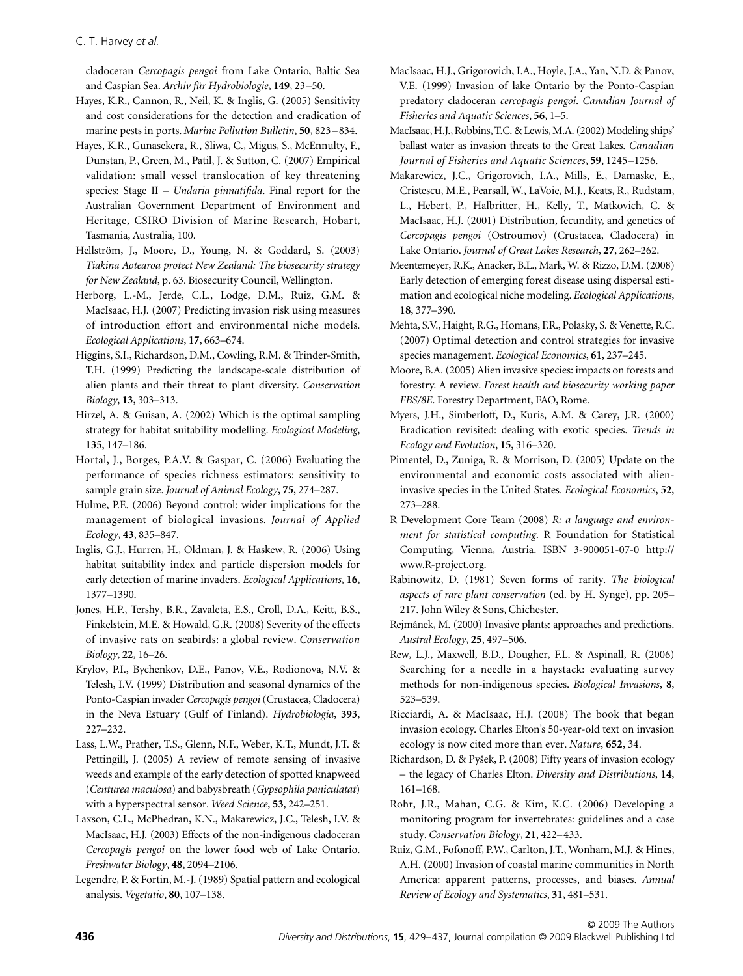cladoceran *Cercopagis pengoi* from Lake Ontario, Baltic Sea and Caspian Sea. *Archiv für Hydrobiologie*, **149**, 23–50.

- Hayes, K.R., Cannon, R., Neil, K. & Inglis, G. (2005) Sensitivity and cost considerations for the detection and eradication of marine pests in ports. *Marine Pollution Bulletin*, **50**, 823–834.
- Hayes, K.R., Gunasekera, R., Sliwa, C., Migus, S., McEnnulty, F., Dunstan, P., Green, M., Patil, J. & Sutton, C. (2007) Empirical validation: small vessel translocation of key threatening species: Stage II – *Undaria pinnatifida*. Final report for the Australian Government Department of Environment and Heritage, CSIRO Division of Marine Research, Hobart, Tasmania, Australia, 100.
- Hellström, J., Moore, D., Young, N. & Goddard, S. (2003) *Tiakina Aotearoa protect New Zealand: The biosecurity strategy for New Zealand*, p. 63. Biosecurity Council, Wellington.
- Herborg, L.-M., Jerde, C.L., Lodge, D.M., Ruiz, G.M. & MacIsaac, H.J. (2007) Predicting invasion risk using measures of introduction effort and environmental niche models. *Ecological Applications*, **17**, 663–674.
- Higgins, S.I., Richardson, D.M., Cowling, R.M. & Trinder-Smith, T.H. (1999) Predicting the landscape-scale distribution of alien plants and their threat to plant diversity. *Conservation Biology*, **13**, 303–313.
- Hirzel, A. & Guisan, A. (2002) Which is the optimal sampling strategy for habitat suitability modelling. *Ecological Modeling*, **135**, 147–186.
- Hortal, J., Borges, P.A.V. & Gaspar, C. (2006) Evaluating the performance of species richness estimators: sensitivity to sample grain size. *Journal of Animal Ecology*, **75**, 274–287.
- Hulme, P.E. (2006) Beyond control: wider implications for the management of biological invasions. *Journal of Applied Ecology*, **43**, 835–847.
- Inglis, G.J., Hurren, H., Oldman, J. & Haskew, R. (2006) Using habitat suitability index and particle dispersion models for early detection of marine invaders. *Ecological Applications*, **16**, 1377–1390.
- Jones, H.P., Tershy, B.R., Zavaleta, E.S., Croll, D.A., Keitt, B.S., Finkelstein, M.E. & Howald, G.R. (2008) Severity of the effects of invasive rats on seabirds: a global review. *Conservation Biology*, **22**, 16–26.
- Krylov, P.I., Bychenkov, D.E., Panov, V.E., Rodionova, N.V. & Telesh, I.V. (1999) Distribution and seasonal dynamics of the Ponto-Caspian invader *Cercopagis pengoi* (Crustacea, Cladocera) in the Neva Estuary (Gulf of Finland). *Hydrobiologia*, **393**, 227–232.
- Lass, L.W., Prather, T.S., Glenn, N.F., Weber, K.T., Mundt, J.T. & Pettingill, J. (2005) A review of remote sensing of invasive weeds and example of the early detection of spotted knapweed (*Centurea maculosa*) and babysbreath (*Gypsophila paniculatat*) with a hyperspectral sensor. *Weed Science*, **53**, 242–251.
- Laxson, C.L., McPhedran, K.N., Makarewicz, J.C., Telesh, I.V. & MacIsaac, H.J. (2003) Effects of the non-indigenous cladoceran *Cercopagis pengoi* on the lower food web of Lake Ontario. *Freshwater Biology*, **48**, 2094–2106.
- Legendre, P. & Fortin, M.-J. (1989) Spatial pattern and ecological analysis. *Vegetatio*, **80**, 107–138.
- MacIsaac, H.J., Grigorovich, I.A., Hoyle, J.A., Yan, N.D. & Panov, V.E. (1999) Invasion of lake Ontario by the Ponto-Caspian predatory cladoceran *cercopagis pengoi*. *Canadian Journal of Fisheries and Aquatic Sciences*, **56**, 1–5.
- MacIsaac, H.J., Robbins, T.C. & Lewis, M.A. (2002) Modeling ships' ballast water as invasion threats to the Great Lakes. *Canadian Journal of Fisheries and Aquatic Sciences*, **59**, 1245–1256.
- Makarewicz, J.C., Grigorovich, I.A., Mills, E., Damaske, E., Cristescu, M.E., Pearsall, W., LaVoie, M.J., Keats, R., Rudstam, L., Hebert, P., Halbritter, H., Kelly, T., Matkovich, C. & MacIsaac, H.J. (2001) Distribution, fecundity, and genetics of *Cercopagis pengoi* (Ostroumov) (Crustacea, Cladocera) in Lake Ontario. *Journal of Great Lakes Research*, **27**, 262–262.
- Meentemeyer, R.K., Anacker, B.L., Mark, W. & Rizzo, D.M. (2008) Early detection of emerging forest disease using dispersal estimation and ecological niche modeling. *Ecological Applications*, **18**, 377–390.
- Mehta, S.V., Haight, R.G., Homans, F.R., Polasky, S. & Venette, R.C. (2007) Optimal detection and control strategies for invasive species management. *Ecological Economics*, **61**, 237–245.
- Moore, B.A. (2005) Alien invasive species: impacts on forests and forestry. A review. *Forest health and biosecurity working paper FBS/8E*. Forestry Department, FAO, Rome.
- Myers, J.H., Simberloff, D., Kuris, A.M. & Carey, J.R. (2000) Eradication revisited: dealing with exotic species. *Trends in Ecology and Evolution*, **15**, 316–320.
- Pimentel, D., Zuniga, R. & Morrison, D. (2005) Update on the environmental and economic costs associated with alieninvasive species in the United States. *Ecological Economics*, **52**, 273–288.
- R Development Core Team (2008) *R: a language and environment for statistical computing*. R Foundation for Statistical [Computing, Vienna, Austria. ISBN 3-900051-07-0 http://](http://www.R-project.org) www.R-project.org.
- Rabinowitz, D. (1981) Seven forms of rarity. *The biological aspects of rare plant conservation* (ed. by H. Synge), pp. 205– 217. John Wiley & Sons, Chichester.
- Rejmánek, M. (2000) Invasive plants: approaches and predictions. *Austral Ecology*, **25**, 497–506.
- Rew, L.J., Maxwell, B.D., Dougher, F.L. & Aspinall, R. (2006) Searching for a needle in a haystack: evaluating survey methods for non-indigenous species. *Biological Invasions*, **8**, 523–539.
- Ricciardi, A. & MacIsaac, H.J. (2008) The book that began invasion ecology. Charles Elton's 50-year-old text on invasion ecology is now cited more than ever. *Nature*, **652**, 34.
- Richardson, D. & Pysek, P. (2008) Fifty years of invasion ecology – the legacy of Charles Elton. *Diversity and Distributions*, **14**, 161–168.
- Rohr, J.R., Mahan, C.G. & Kim, K.C. (2006) Developing a monitoring program for invertebrates: guidelines and a case study. *Conservation Biology*, **21**, 422–433.
- Ruiz, G.M., Fofonoff, P.W., Carlton, J.T., Wonham, M.J. & Hines, A.H. (2000) Invasion of coastal marine communities in North America: apparent patterns, processes, and biases. *Annual Review of Ecology and Systematics*, **31**, 481–531.